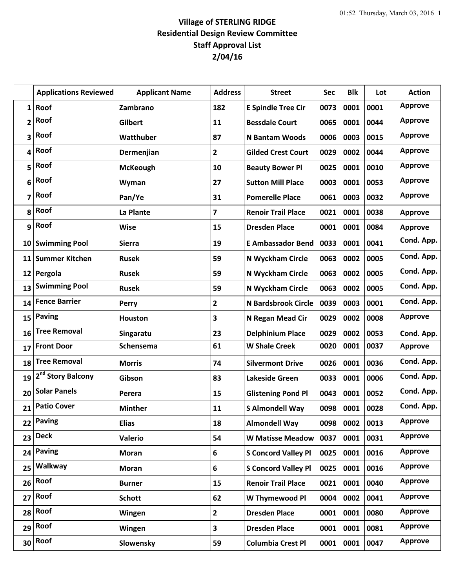## **Village of STERLING RIDGE Residential Design Review Committee Staff Approval List 2/04/16**

|                         | <b>Applications Reviewed</b>  | <b>Applicant Name</b> | <b>Address</b>          | <b>Street</b>              | Sec  | <b>Blk</b> | Lot  | <b>Action</b>  |
|-------------------------|-------------------------------|-----------------------|-------------------------|----------------------------|------|------------|------|----------------|
| $\mathbf{1}$            | Roof                          | Zambrano              | 182                     | <b>E Spindle Tree Cir</b>  | 0073 | 0001       | 0001 | <b>Approve</b> |
| $\overline{\mathbf{c}}$ | Roof                          | <b>Gilbert</b>        | 11                      | <b>Bessdale Court</b>      | 0065 | 0001       | 0044 | <b>Approve</b> |
| 3                       | Roof                          | Watthuber             | 87                      | <b>N</b> Bantam Woods      | 0006 | 0003       | 0015 | <b>Approve</b> |
| 4                       | Roof                          | Dermenjian            | $\mathbf{2}$            | <b>Gilded Crest Court</b>  | 0029 | 0002       | 0044 | <b>Approve</b> |
| 5                       | Roof                          | <b>McKeough</b>       | 10                      | <b>Beauty Bower Pl</b>     | 0025 | 0001       | 0010 | <b>Approve</b> |
| 6                       | Roof                          | Wyman                 | 27                      | <b>Sutton Mill Place</b>   | 0003 | 0001       | 0053 | <b>Approve</b> |
| 7                       | Roof                          | Pan/Ye                | 31                      | <b>Pomerelle Place</b>     | 0061 | 0003       | 0032 | <b>Approve</b> |
| 8                       | Roof                          | La Plante             | $\overline{\mathbf{z}}$ | <b>Renoir Trail Place</b>  | 0021 | 0001       | 0038 | <b>Approve</b> |
| 9                       | Roof                          | Wise                  | 15                      | <b>Dresden Place</b>       | 0001 | 0001       | 0084 | <b>Approve</b> |
|                         | 10 Swimming Pool              | <b>Sierra</b>         | 19                      | <b>E Ambassador Bend</b>   | 0033 | 0001       | 0041 | Cond. App.     |
| 11                      | <b>Summer Kitchen</b>         | <b>Rusek</b>          | 59                      | N Wyckham Circle           | 0063 | 0002       | 0005 | Cond. App.     |
| 12                      | Pergola                       | <b>Rusek</b>          | 59                      | N Wyckham Circle           | 0063 | 0002       | 0005 | Cond. App.     |
| 13                      | <b>Swimming Pool</b>          | <b>Rusek</b>          | 59                      | N Wyckham Circle           | 0063 | 0002       | 0005 | Cond. App.     |
| 14                      | <b>Fence Barrier</b>          | <b>Perry</b>          | $\mathbf{2}$            | <b>N Bardsbrook Circle</b> | 0039 | 0003       | 0001 | Cond. App.     |
| 15                      | <b>Paving</b>                 | <b>Houston</b>        | 3                       | N Regan Mead Cir           | 0029 | 0002       | 0008 | <b>Approve</b> |
| 16                      | <b>Tree Removal</b>           | Singaratu             | 23                      | <b>Delphinium Place</b>    | 0029 | 0002       | 0053 | Cond. App.     |
| 17                      | <b>Front Door</b>             | Schensema             | 61                      | <b>W Shale Creek</b>       | 0020 | 0001       | 0037 | <b>Approve</b> |
| 18                      | <b>Tree Removal</b>           | <b>Morris</b>         | 74                      | <b>Silvermont Drive</b>    | 0026 | 0001       | 0036 | Cond. App.     |
| 19                      | 2 <sup>nd</sup> Story Balcony | Gibson                | 83                      | <b>Lakeside Green</b>      | 0033 | 0001       | 0006 | Cond. App.     |
| 20                      | <b>Solar Panels</b>           | Perera                | 15                      | <b>Glistening Pond Pl</b>  | 0043 | 0001       | 0052 | Cond. App.     |
| 21                      | <b>Patio Cover</b>            | <b>Minther</b>        | 11                      | <b>S Almondell Way</b>     | 0098 | 0001       | 0028 | Cond. App.     |
| 22                      | <b>Paving</b>                 | <b>Elias</b>          | 18                      | <b>Almondell Way</b>       | 0098 | 0002       | 0013 | <b>Approve</b> |
| 23                      | <b>Deck</b>                   | <b>Valerio</b>        | 54                      | <b>W Matisse Meadow</b>    | 0037 | 0001       | 0031 | <b>Approve</b> |
| 24                      | <b>Paving</b>                 | <b>Moran</b>          | 6                       | <b>S Concord Valley Pl</b> | 0025 | 0001       | 0016 | <b>Approve</b> |
| 25                      | Walkway                       | <b>Moran</b>          | 6                       | <b>S Concord Valley Pl</b> | 0025 | 0001       | 0016 | <b>Approve</b> |
| 26                      | Roof                          | <b>Burner</b>         | 15                      | <b>Renoir Trail Place</b>  | 0021 | 0001       | 0040 | <b>Approve</b> |
| 27                      | Roof                          | <b>Schott</b>         | 62                      | W Thymewood Pl             | 0004 | 0002       | 0041 | <b>Approve</b> |
| 28                      | Roof                          | Wingen                | $\overline{2}$          | <b>Dresden Place</b>       | 0001 | 0001       | 0080 | <b>Approve</b> |
| 29                      | Roof                          | Wingen                | 3                       | <b>Dresden Place</b>       | 0001 | 0001       | 0081 | <b>Approve</b> |
| 30                      | Roof                          | Slowensky             | 59                      | <b>Columbia Crest Pl</b>   | 0001 | 0001       | 0047 | <b>Approve</b> |